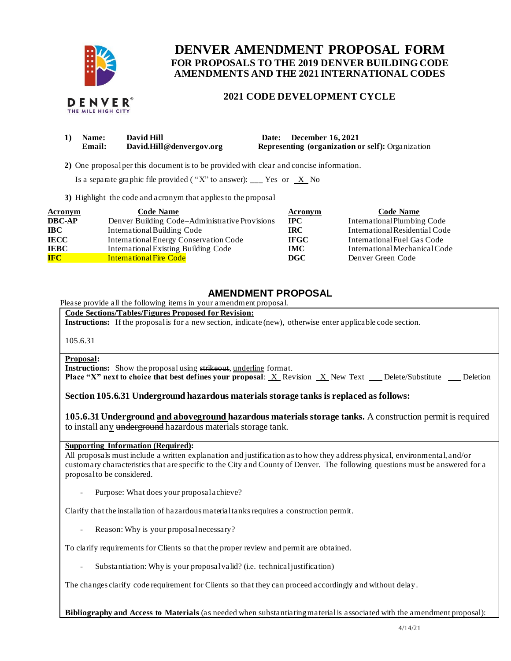

# **FOR PROPOSALS TO THE 2019 DENVER BUILDING CODE DENVER AMENDMENT PROPOSAL FORM AMENDMENTS AND THE 2021 INTERNATIONAL CODES**

## **2021 CODE DEVELOPMENT CYCLE**

| <b>Name:</b> | David Hill               | Date: December 16, 2021                                  |
|--------------|--------------------------|----------------------------------------------------------|
| Email:       | David.Hill@denvergov.org | <b>Representing (organization or self):</b> Organization |

**2)** One proposalper this document is to be provided with clear and concise information.

Is a separate graphic file provided ("X" to answer): \_\_\_ Yes or  $X$  No

**3)** Highlight the code and acronym that applies to the proposal

| <b>Acronym</b> | <b>Code Name</b>                               | Acronym     | <b>Code Name</b>               |
|----------------|------------------------------------------------|-------------|--------------------------------|
| <b>DBC-AP</b>  | Denver Building Code–Administrative Provisions | <b>IPC</b>  | International Plumbing Code    |
| <b>IBC</b>     | International Building Code                    | <b>IRC</b>  | International Residential Code |
| <b>IECC</b>    | International Energy Conservation Code         | <b>IFGC</b> | International Fuel Gas Code    |
| <b>IEBC</b>    | <b>International Existing Building Code</b>    | <b>IMC</b>  | International Mechanical Code  |
| <b>IFC</b>     | <b>International Fire Code</b>                 | <b>DGC</b>  | Denver Green Code              |

## **AMENDMENT PROPOSAL**

Please provide all the following items in your amendment proposal.

#### **Code Sections/Tables/Figures Proposed for Revision:**

**Instructions:** If the proposal is for a new section, indicate (new), otherwise enter applicable code section.

105.6.31

#### **Proposal:**

**Instructions:** Show the proposal using strikeout, underline format.

**Place "X" next to choice that best defines your proposal: X Revision X New Text \_ Delete/Substitute \_ Deletion** 

### **Section 105.6.31 Underground hazardous materials storage tanks is replaced as follows:**

105.6.31 Underground and aboveground hazardous materials storage tanks. A construction permit is required to install any underground hazardous materials storage tank.

#### **Supporting Information (Required):**

 All proposals must include a written explanation and justification as to how they address physical, environmental, and/or customary characteristics that are specific to the City and County of Denver. The following questions must be answered for a proposal to be considered.

- Purpose: What does your proposalachieve?

Clarify that the installation of hazardous material tanks requires a construction permit.

- Reason: Why is your proposal necessary?

To clarify requirements for Clients so that the proper review and permit are obtained.

- Substantiation: Why is your proposal valid? (i.e. technical justification)

The changes clarify code requirement for Clients so that they can proceed accordingly and without delay.

 **Bibliography and Access to Materials** (as needed when substantiating material is associated with the amendment proposal):